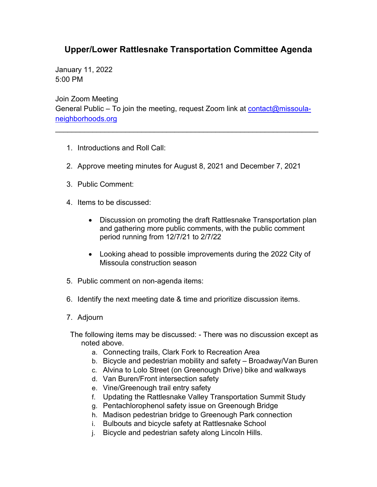## **Upper/Lower Rattlesnake Transportation Committee Agenda**

January 11, 2022 5:00 PM

Join Zoom Meeting General Public – To join the meeting, request Zoom link at [contact@missoula](mailto:contact@missoula-neighborhoods.org)[neighborhoods.org](mailto:contact@missoula-neighborhoods.org)

\_\_\_\_\_\_\_\_\_\_\_\_\_\_\_\_\_\_\_\_\_\_\_\_\_\_\_\_\_\_\_\_\_\_\_\_\_\_\_\_\_\_\_\_\_\_\_\_\_\_\_\_\_\_\_\_\_\_\_\_\_\_\_\_

- 1. Introductions and Roll Call:
- 2. Approve meeting minutes for August 8, 2021 and December 7, 2021
- 3. Public Comment:
- 4. Items to be discussed:
	- Discussion on promoting the draft Rattlesnake Transportation plan and gathering more public comments, with the public comment period running from 12/7/21 to 2/7/22
	- Looking ahead to possible improvements during the 2022 City of Missoula construction season
- 5. Public comment on non-agenda items:
- 6. Identify the next meeting date & time and prioritize discussion items.
- 7. Adjourn
- The following items may be discussed: There was no discussion except as noted above.
	- a. Connecting trails, Clark Fork to Recreation Area
	- b. Bicycle and pedestrian mobility and safety Broadway/Van Buren
	- c. Alvina to Lolo Street (on Greenough Drive) bike and walkways
	- d. Van Buren/Front intersection safety
	- e. Vine/Greenough trail entry safety
	- f. Updating the Rattlesnake Valley Transportation Summit Study
	- g. Pentachlorophenol safety issue on Greenough Bridge
	- h. Madison pedestrian bridge to Greenough Park connection
	- i. Bulbouts and bicycle safety at Rattlesnake School
	- j. Bicycle and pedestrian safety along Lincoln Hills.